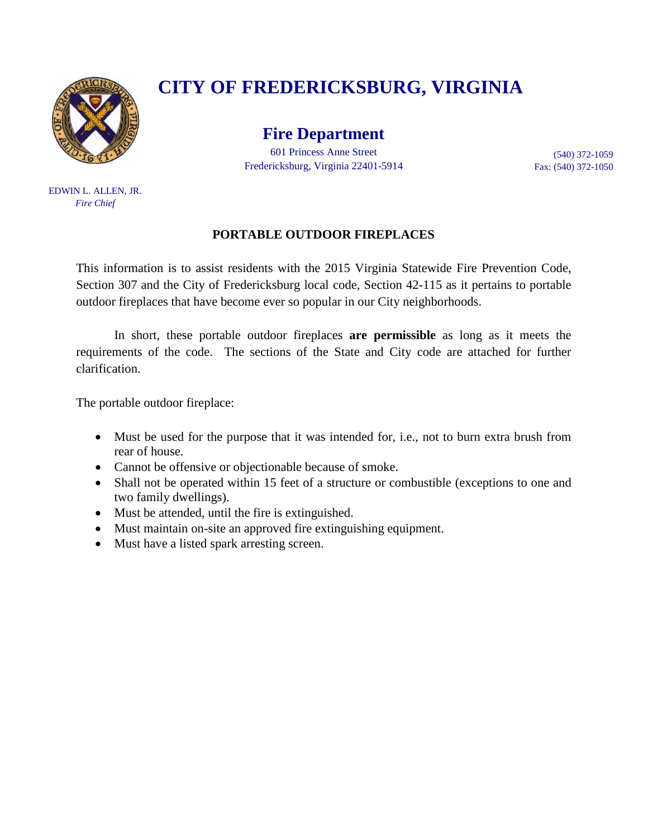

EDWIN L. ALLEN, JR. *Fire Chief*

# **CITY OF FREDERICKSBURG, VIRGINIA**

**Fire Department** 601 Princess Anne Street Fredericksburg, Virginia 22401-5914

(540) 372-1059 Fax: (540) 372-1050

#### **PORTABLE OUTDOOR FIREPLACES**

This information is to assist residents with the 2015 Virginia Statewide Fire Prevention Code, Section 307 and the City of Fredericksburg local code, Section 42-115 as it pertains to portable outdoor fireplaces that have become ever so popular in our City neighborhoods.

In short, these portable outdoor fireplaces **are permissible** as long as it meets the requirements of the code. The sections of the State and City code are attached for further clarification.

The portable outdoor fireplace:

- Must be used for the purpose that it was intended for, i.e., not to burn extra brush from rear of house.
- Cannot be offensive or objectionable because of smoke.
- Shall not be operated within 15 feet of a structure or combustible (exceptions to one and two family dwellings).
- Must be attended, until the fire is extinguished.
- Must maintain on-site an approved fire extinguishing equipment.
- Must have a listed spark arresting screen.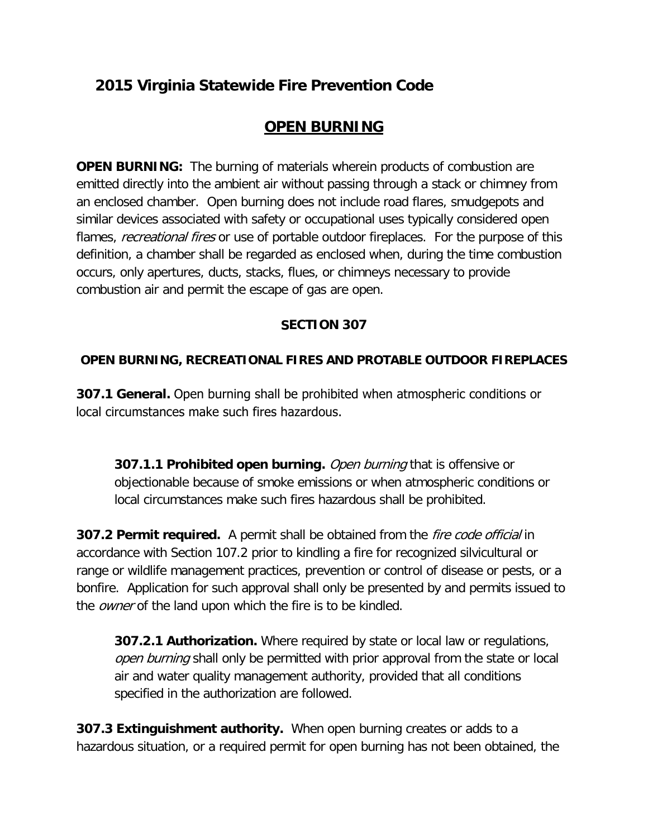## **2015 Virginia Statewide Fire Prevention Code**

### **OPEN BURNING**

**OPEN BURNING:** The burning of materials wherein products of combustion are emitted directly into the ambient air without passing through a stack or chimney from an enclosed chamber. Open burning does not include road flares, smudgepots and similar devices associated with safety or occupational uses typically considered open flames, *recreational fires* or use of portable outdoor fireplaces. For the purpose of this definition, a chamber shall be regarded as enclosed when, during the time combustion occurs, only apertures, ducts, stacks, flues, or chimneys necessary to provide combustion air and permit the escape of gas are open.

#### **SECTION 307**

#### **OPEN BURNING, RECREATIONAL FIRES AND PROTABLE OUTDOOR FIREPLACES**

**307.1 General.** Open burning shall be prohibited when atmospheric conditions or local circumstances make such fires hazardous.

**307.1.1 Prohibited open burning.** Open burning that is offensive or objectionable because of smoke emissions or when atmospheric conditions or local circumstances make such fires hazardous shall be prohibited.

**307.2 Permit required.** A permit shall be obtained from the fire code official in accordance with Section 107.2 prior to kindling a fire for recognized silvicultural or range or wildlife management practices, prevention or control of disease or pests, or a bonfire. Application for such approval shall only be presented by and permits issued to the *owner* of the land upon which the fire is to be kindled.

**307.2.1 Authorization.** Where required by state or local law or regulations, open burning shall only be permitted with prior approval from the state or local air and water quality management authority, provided that all conditions specified in the authorization are followed.

**307.3 Extinguishment authority.** When open burning creates or adds to a hazardous situation, or a required permit for open burning has not been obtained, the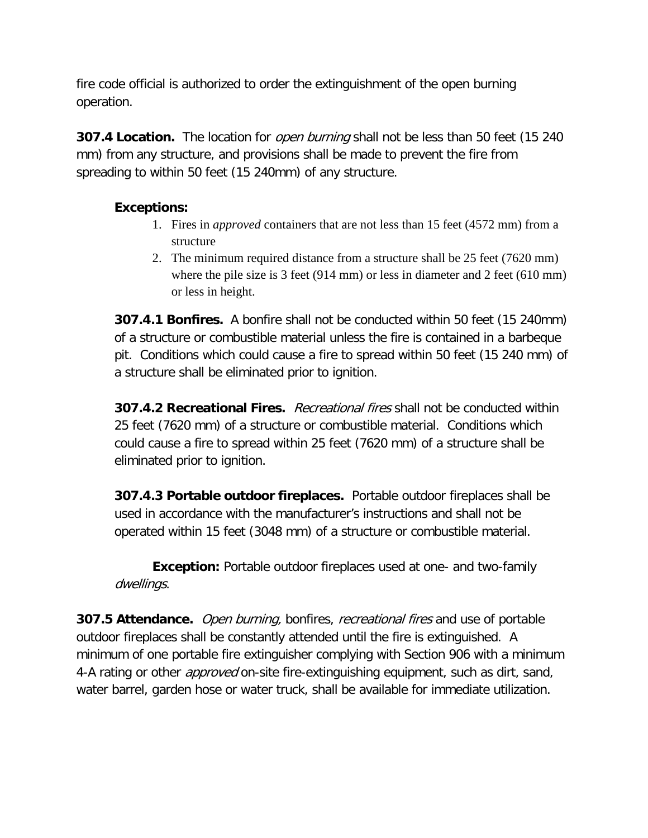fire code official is authorized to order the extinguishment of the open burning operation.

**307.4 Location.** The location for *open burning* shall not be less than 50 feet (15 240 mm) from any structure, and provisions shall be made to prevent the fire from spreading to within 50 feet (15 240mm) of any structure.

#### **Exceptions:**

- 1. Fires in *approved* containers that are not less than 15 feet (4572 mm) from a structure
- 2. The minimum required distance from a structure shall be 25 feet (7620 mm) where the pile size is 3 feet (914 mm) or less in diameter and 2 feet (610 mm) or less in height.

**307.4.1 Bonfires.** A bonfire shall not be conducted within 50 feet (15 240mm) of a structure or combustible material unless the fire is contained in a barbeque pit. Conditions which could cause a fire to spread within 50 feet (15 240 mm) of a structure shall be eliminated prior to ignition.

**307.4.2 Recreational Fires.** Recreational fires shall not be conducted within 25 feet (7620 mm) of a structure or combustible material. Conditions which could cause a fire to spread within 25 feet (7620 mm) of a structure shall be eliminated prior to ignition.

**307.4.3 Portable outdoor fireplaces.** Portable outdoor fireplaces shall be used in accordance with the manufacturer's instructions and shall not be operated within 15 feet (3048 mm) of a structure or combustible material.

**Exception:** Portable outdoor fireplaces used at one- and two-family dwellings.

**307.5 Attendance.** Open burning, bonfires, recreational fires and use of portable outdoor fireplaces shall be constantly attended until the fire is extinguished. A minimum of one portable fire extinguisher complying with Section 906 with a minimum 4-A rating or other *approved* on-site fire-extinguishing equipment, such as dirt, sand, water barrel, garden hose or water truck, shall be available for immediate utilization.